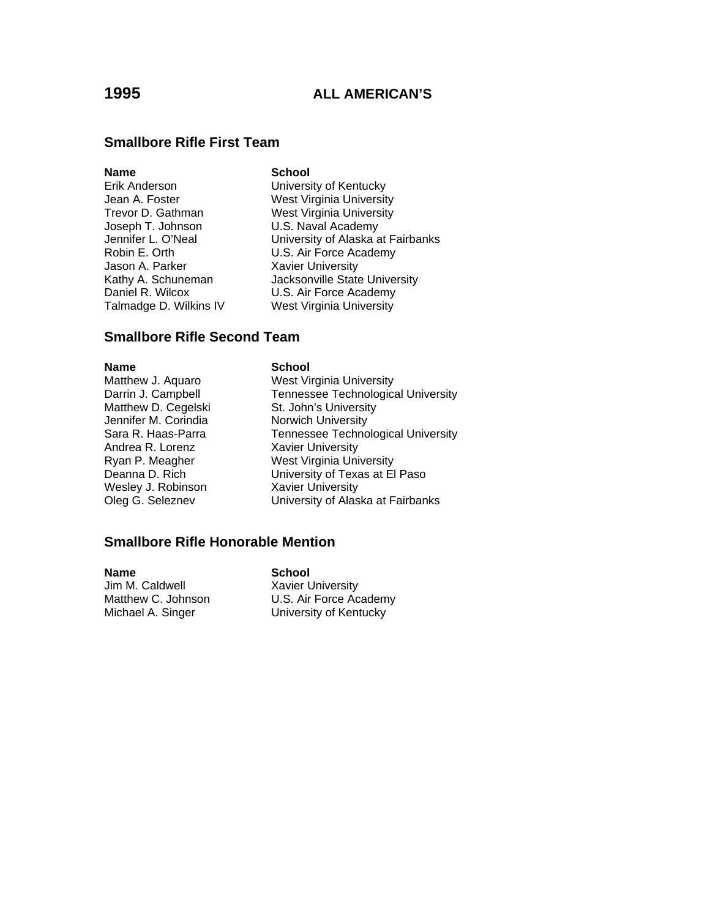# **Smallbore Rifle First Team**

### **Name** School

- Joseph T. Johnson U.S. Naval Academy Jason A. Parker Xavier University Talmadge D. Wilkins IV West Virginia University
- Erik Anderson University of Kentucky Jean A. Foster West Virginia University Trevor D. Gathman West Virginia University Jennifer L. O'Neal University of Alaska at Fairbanks Robin E. Orth U.S. Air Force Academy Kathy A. Schuneman **Jacksonville State University** Daniel R. Wilcox **U.S. Air Force Academy**

### **Smallbore Rifle Second Team**

**Name** School

- Matthew D. Cegelski St. John's University<br>Jennifer M. Corindia St. Norwich University Jennifer M. Corindia **Norwich University**<br>1994 Sara R. Haas-Parra **Norwich Sara R. Haas-Parra** Andrea R. Lorenz Xavier University Wesley J. Robinson **Xavier University**
- Matthew J. Aquaro West Virginia University Darrin J. Campbell **Tennessee Technological University** Tennessee Technological University Ryan P. Meagher West Virginia University<br>Deanna D. Rich West Viriversity of Texas at El University of Texas at El Paso Oleg G. Seleznev University of Alaska at Fairbanks

# **Smallbore Rifle Honorable Mention**

**Name** School Jim M. Caldwell **Xavier University**<br>Matthew C. Johnson **M. C. L. C. A.** U.S. Air Force Ac

U.S. Air Force Academy Michael A. Singer **University of Kentucky**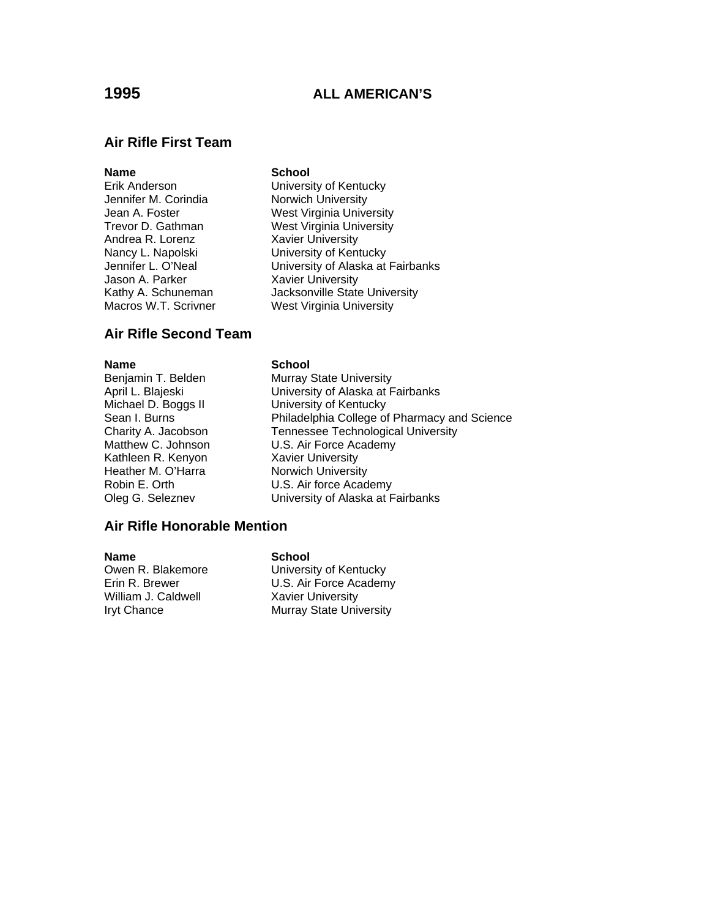### **Air Rifle First Team**

### **Name** School

- Jennifer M. Corindia Norwich University Andrea R. Lorenz Xavier University Jason A. Parker Xavier University Macros W.T. Scrivner West Virginia University
- Erik Anderson University of Kentucky Jean A. Foster West Virginia University Trevor D. Gathman West Virginia University Nancy L. Napolski **University of Kentucky** Jennifer L. O'Neal University of Alaska at Fairbanks Kathy A. Schuneman **Jacksonville State University**

### **Air Rifle Second Team**

Kathleen R. Kenyon Xavier University Heather M. O'Harra Norwich University

### **Name** School

Benjamin T. Belden Murray State University April L. Blajeski University of Alaska at Fairbanks Michael D. Boggs II **University of Kentucky** Sean I. Burns **Philadelphia College of Pharmacy and Science** Charity A. Jacobson Tennessee Technological University Matthew C. Johnson **U.S. Air Force Academy** Robin E. Orth U.S. Air force Academy Oleg G. Seleznev University of Alaska at Fairbanks

### **Air Rifle Honorable Mention**

**Name School**<br> **Owen R. Blakemore School**<br> **Universi** William J. Caldwell **Xavier University** 

**University of Kentucky** Erin R. Brewer **U.S. Air Force Academy** Iryt Chance Murray State University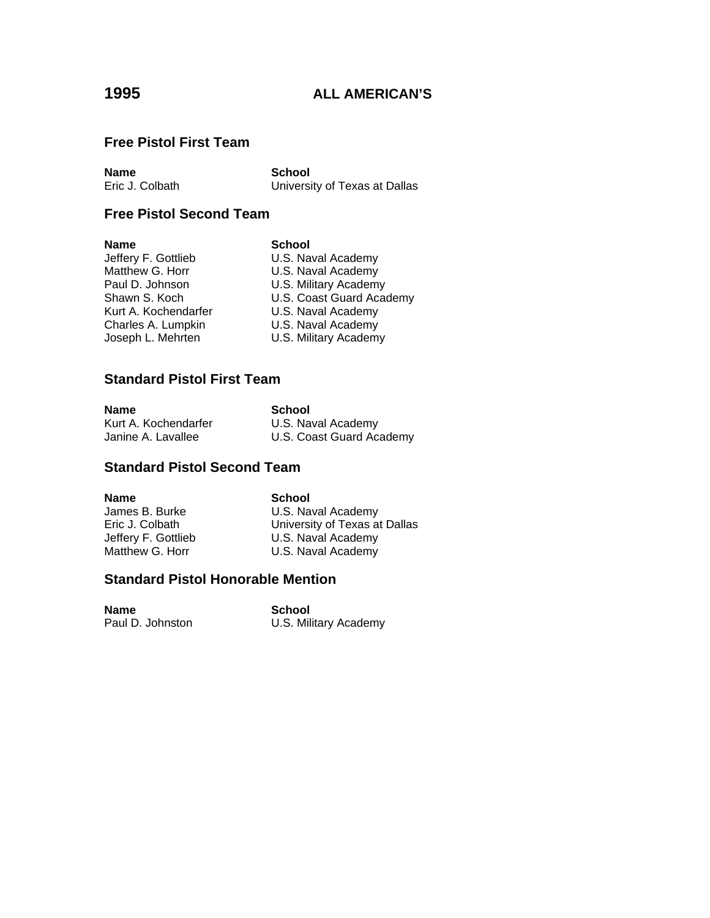# **Free Pistol First Team**

**Name School**<br> **Eric J. Colbath Colbath College College College College College College College College College College College College College College College College College College College College College College** 

University of Texas at Dallas

# **Free Pistol Second Team**

### **Name** School

Kurt A. Kochendarfer<br>Charles A. Lumpkin

Jeffery F. Gottlieb **U.S. Naval Academy**<br>Matthew G. Horr **U.S. Naval Academy** U.S. Naval Academy Paul D. Johnson **U.S. Military Academy** Shawn S. Koch **U.S. Coast Guard Academy**<br>
Kurt A. Kochendarfer **U.S. Naval Academy** U.S. Naval Academy Joseph L. Mehrten **U.S. Military Academy** 

# **Standard Pistol First Team**

| <b>Name</b>          | School                   |
|----------------------|--------------------------|
| Kurt A. Kochendarfer | U.S. Naval Academy       |
| Janine A. Lavallee   | U.S. Coast Guard Academy |

# **Standard Pistol Second Team**

**Name** School

James B. Burke U.S. Naval Academy Eric J. Colbath University of Texas at Dallas<br>
Jeffery F. Gottlieb U.S. Naval Academy U.S. Naval Academy Matthew G. Horr **U.S. Naval Academy** 

### **Standard Pistol Honorable Mention**

**Name** School

Paul D. Johnston **U.S. Military Academy**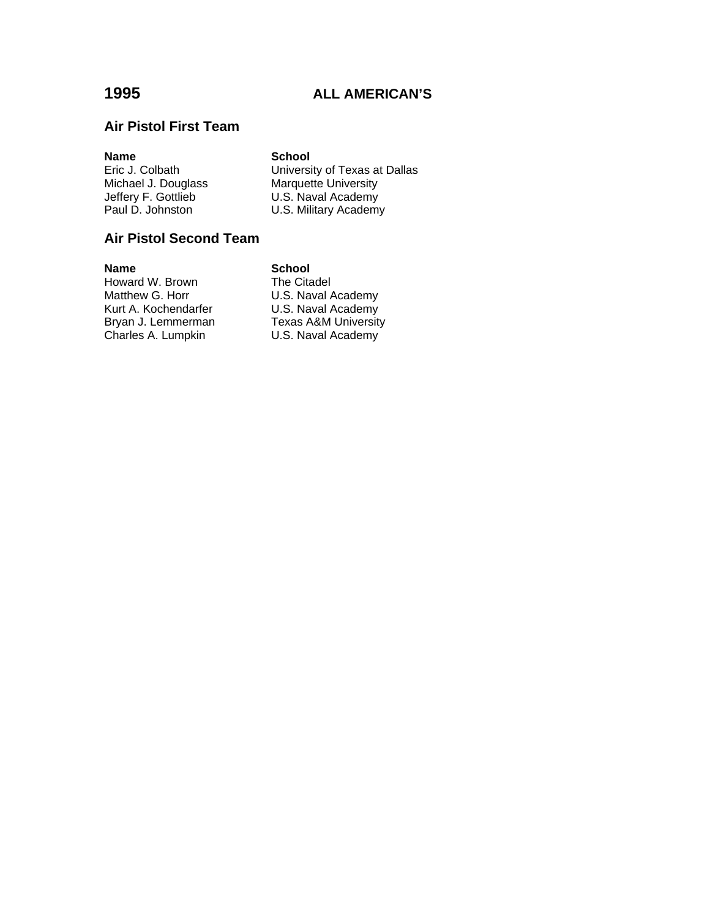# **Air Pistol First Team**

**Name School**<br> **Eric J. Colbath Colbath College College College College College College College College College College College College College College College College College College College College College College** Michael J. Douglass<br>
Marquette University<br>
Jeffery F. Gottlieb<br>
Paul D. Johnston<br>
U.S. Military Academ

Eric J. Colbath University of Texas at Dallas<br>Michael J. Douglass Marquette University U.S. Naval Academy U.S. Military Academy

# **Air Pistol Second Team**

**Name**<br> **Howard W. Brown**<br> **Citadel Reference** Howard W. Brown<br>Matthew G. Horr Kurt A. Kochendarfer<br>Bryan J. Lemmerman Texas A&M University Bryan J. Lemmerman Texas A&M University<br>Charles A. Lumpkin U.S. Naval Academy

U.S. Naval Academy U.S. Naval Academy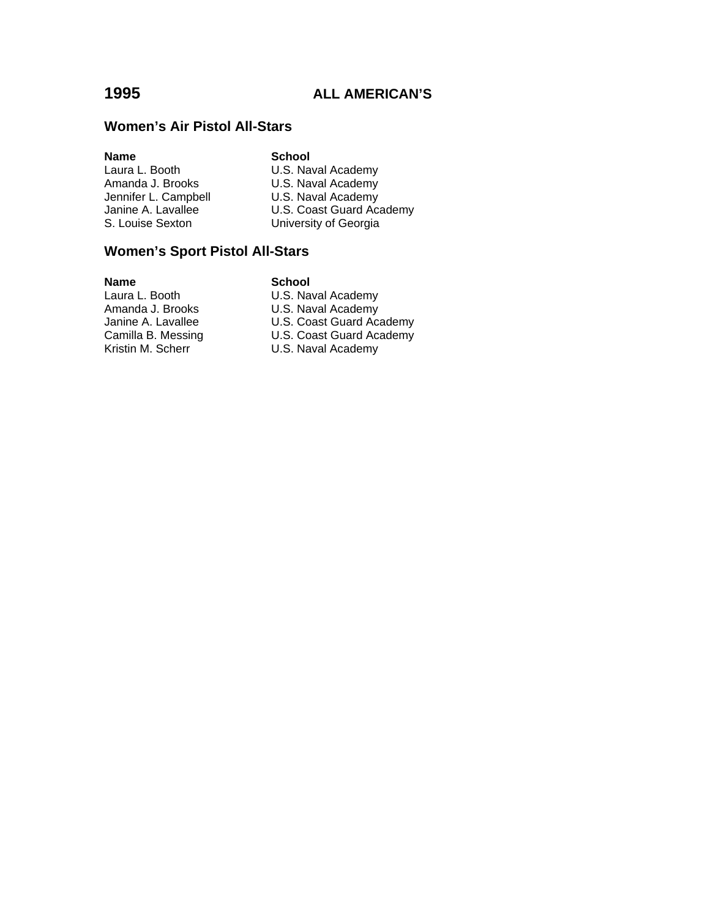# **Women's Air Pistol All-Stars**

# **Name School**

U.S. Naval Academy Amanda J. Brooks **U.S. Naval Academy** Jennifer L. Campbell **U.S. Naval Academy**<br>Janine A. Lavallee **U.S. Coast Guard Aca** U.S. Coast Guard Academy S. Louise Sexton University of Georgia

# **Women's Sport Pistol All-Stars**

**Name School**<br>
Laura L. Booth **School**<br>
U.S. Nav

U.S. Naval Academy Amanda J. Brooks **U.S. Naval Academy** Janine A. Lavallee U.S. Coast Guard Academy<br>Camilla B. Messing U.S. Coast Guard Academy U.S. Coast Guard Academy Kristin M. Scherr U.S. Naval Academy